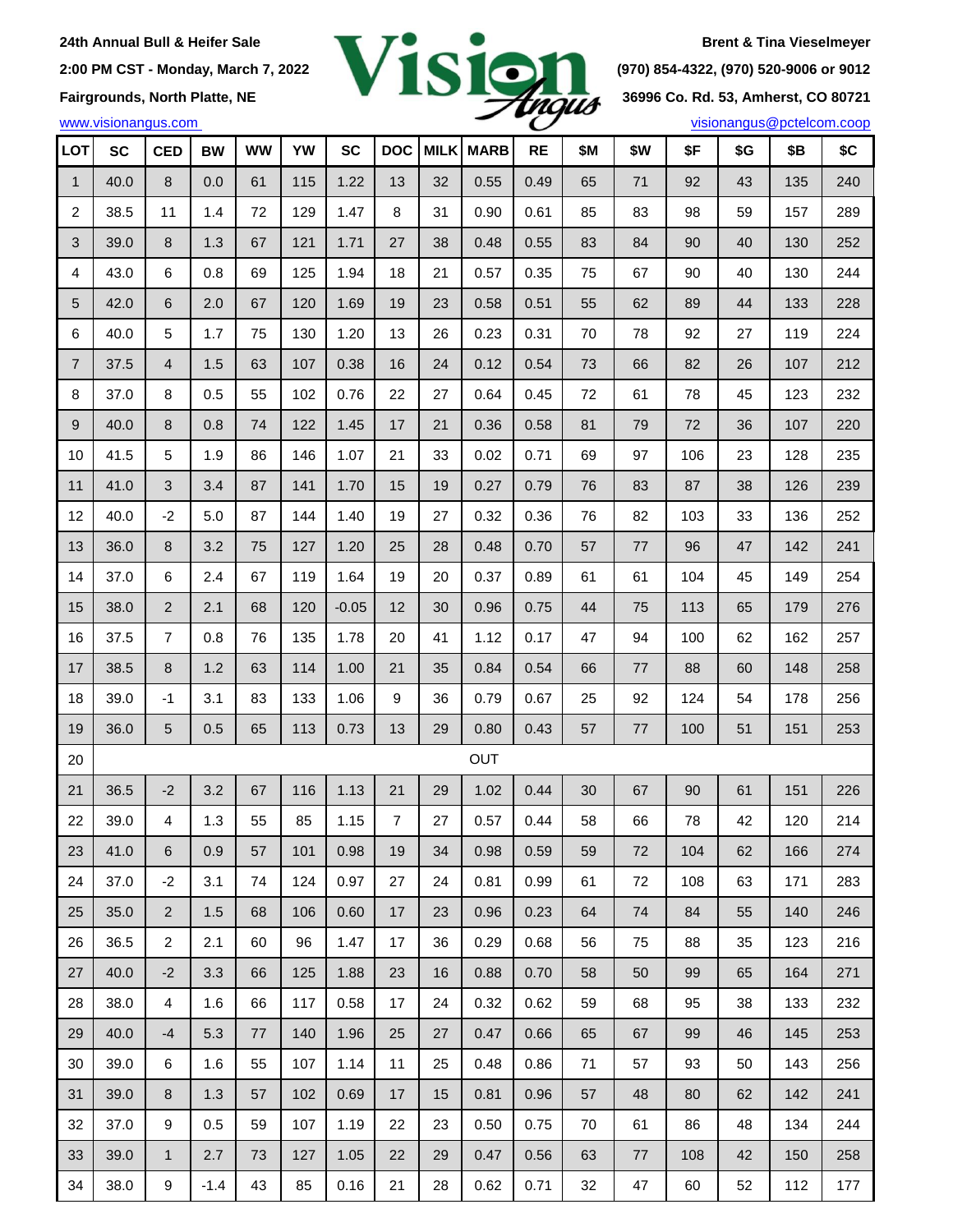

| LOT              | <b>SC</b> | <b>CED</b>     | <b>BW</b> | <b>WW</b> | YW  | <b>SC</b> | <b>DOC</b> | <b>MILK</b> | <b>MARB</b> | <b>RE</b> | \$М | \$W | \$F | \$G | \$Β | \$C |
|------------------|-----------|----------------|-----------|-----------|-----|-----------|------------|-------------|-------------|-----------|-----|-----|-----|-----|-----|-----|
| $\mathbf{1}$     | 40.0      | 8              | 0.0       | 61        | 115 | 1.22      | 13         | 32          | 0.55        | 0.49      | 65  | 71  | 92  | 43  | 135 | 240 |
| $\overline{c}$   | 38.5      | 11             | 1.4       | 72        | 129 | 1.47      | 8          | 31          | 0.90        | 0.61      | 85  | 83  | 98  | 59  | 157 | 289 |
| $\sqrt{3}$       | 39.0      | 8              | 1.3       | 67        | 121 | 1.71      | 27         | 38          | 0.48        | 0.55      | 83  | 84  | 90  | 40  | 130 | 252 |
| 4                | 43.0      | 6              | 0.8       | 69        | 125 | 1.94      | 18         | 21          | 0.57        | 0.35      | 75  | 67  | 90  | 40  | 130 | 244 |
| 5                | 42.0      | 6              | 2.0       | 67        | 120 | 1.69      | 19         | 23          | 0.58        | 0.51      | 55  | 62  | 89  | 44  | 133 | 228 |
| 6                | 40.0      | 5              | 1.7       | 75        | 130 | 1.20      | 13         | 26          | 0.23        | 0.31      | 70  | 78  | 92  | 27  | 119 | 224 |
| $\boldsymbol{7}$ | 37.5      | 4              | 1.5       | 63        | 107 | 0.38      | 16         | 24          | 0.12        | 0.54      | 73  | 66  | 82  | 26  | 107 | 212 |
| 8                | 37.0      | 8              | 0.5       | 55        | 102 | 0.76      | 22         | 27          | 0.64        | 0.45      | 72  | 61  | 78  | 45  | 123 | 232 |
| 9                | 40.0      | 8              | 0.8       | 74        | 122 | 1.45      | 17         | 21          | 0.36        | 0.58      | 81  | 79  | 72  | 36  | 107 | 220 |
| 10               | 41.5      | 5              | 1.9       | 86        | 146 | 1.07      | 21         | 33          | 0.02        | 0.71      | 69  | 97  | 106 | 23  | 128 | 235 |
| 11               | 41.0      | $\sqrt{3}$     | 3.4       | 87        | 141 | 1.70      | 15         | 19          | 0.27        | 0.79      | 76  | 83  | 87  | 38  | 126 | 239 |
| 12               | 40.0      | $-2$           | 5.0       | 87        | 144 | 1.40      | 19         | 27          | 0.32        | 0.36      | 76  | 82  | 103 | 33  | 136 | 252 |
| 13               | 36.0      | 8              | 3.2       | 75        | 127 | 1.20      | 25         | 28          | 0.48        | 0.70      | 57  | 77  | 96  | 47  | 142 | 241 |
| 14               | 37.0      | 6              | 2.4       | 67        | 119 | 1.64      | 19         | 20          | 0.37        | 0.89      | 61  | 61  | 104 | 45  | 149 | 254 |
| 15               | 38.0      | $\overline{2}$ | 2.1       | 68        | 120 | $-0.05$   | 12         | 30          | 0.96        | 0.75      | 44  | 75  | 113 | 65  | 179 | 276 |
| 16               | 37.5      | 7              | 0.8       | 76        | 135 | 1.78      | 20         | 41          | 1.12        | 0.17      | 47  | 94  | 100 | 62  | 162 | 257 |
| 17               | 38.5      | 8              | 1.2       | 63        | 114 | 1.00      | 21         | 35          | 0.84        | 0.54      | 66  | 77  | 88  | 60  | 148 | 258 |
| 18               | 39.0      | $-1$           | 3.1       | 83        | 133 | 1.06      | 9          | 36          | 0.79        | 0.67      | 25  | 92  | 124 | 54  | 178 | 256 |
| 19               | 36.0      | 5              | 0.5       | 65        | 113 | 0.73      | 13         | 29          | 0.80        | 0.43      | 57  | 77  | 100 | 51  | 151 | 253 |
| 20               |           |                |           |           |     |           |            |             | OUT         |           |     |     |     |     |     |     |
| 21               | 36.5      | $-2$           | 3.2       | 67        | 116 | 1.13      | 21         | 29          | 1.02        | 0.44      | 30  | 67  | 90  | 61  | 151 | 226 |
| 22               | 39.0      | 4              | 1.3       | 55        | 85  | 1.15      | 7          | 27          | 0.57        | 0.44      | 58  | 66  | 78  | 42  | 120 | 214 |
| 23               | 41.0      | 6              | 0.9       | 57        | 101 | 0.98      | 19         | 34          | 0.98        | 0.59      | 59  | 72  | 104 | 62  | 166 | 274 |
| 24               | 37.0      | $-2$           | 3.1       | 74        | 124 | 0.97      | 27         | 24          | 0.81        | 0.99      | 61  | 72  | 108 | 63  | 171 | 283 |
| 25               | 35.0      | $\overline{2}$ | 1.5       | 68        | 106 | 0.60      | 17         | 23          | 0.96        | 0.23      | 64  | 74  | 84  | 55  | 140 | 246 |
| 26               | 36.5      | $\overline{c}$ | 2.1       | 60        | 96  | 1.47      | 17         | 36          | 0.29        | 0.68      | 56  | 75  | 88  | 35  | 123 | 216 |
| 27               | 40.0      | $-2$           | 3.3       | 66        | 125 | 1.88      | 23         | 16          | 0.88        | 0.70      | 58  | 50  | 99  | 65  | 164 | 271 |
| 28               | 38.0      | 4              | 1.6       | 66        | 117 | 0.58      | 17         | 24          | 0.32        | 0.62      | 59  | 68  | 95  | 38  | 133 | 232 |
| 29               | 40.0      | $-4$           | 5.3       | 77        | 140 | 1.96      | 25         | 27          | 0.47        | 0.66      | 65  | 67  | 99  | 46  | 145 | 253 |
| 30               | 39.0      | 6              | 1.6       | 55        | 107 | 1.14      | 11         | 25          | 0.48        | 0.86      | 71  | 57  | 93  | 50  | 143 | 256 |
| 31               | 39.0      | 8              | 1.3       | 57        | 102 | 0.69      | 17         | 15          | 0.81        | 0.96      | 57  | 48  | 80  | 62  | 142 | 241 |
| 32               | 37.0      | 9              | 0.5       | 59        | 107 | 1.19      | 22         | 23          | 0.50        | 0.75      | 70  | 61  | 86  | 48  | 134 | 244 |
| 33               | 39.0      | $\mathbf{1}$   | 2.7       | 73        | 127 | 1.05      | 22         | 29          | 0.47        | 0.56      | 63  | 77  | 108 | 42  | 150 | 258 |
| 34               | 38.0      | 9              | $-1.4$    | 43        | 85  | 0.16      | 21         | 28          | 0.62        | 0.71      | 32  | 47  | 60  | 52  | 112 | 177 |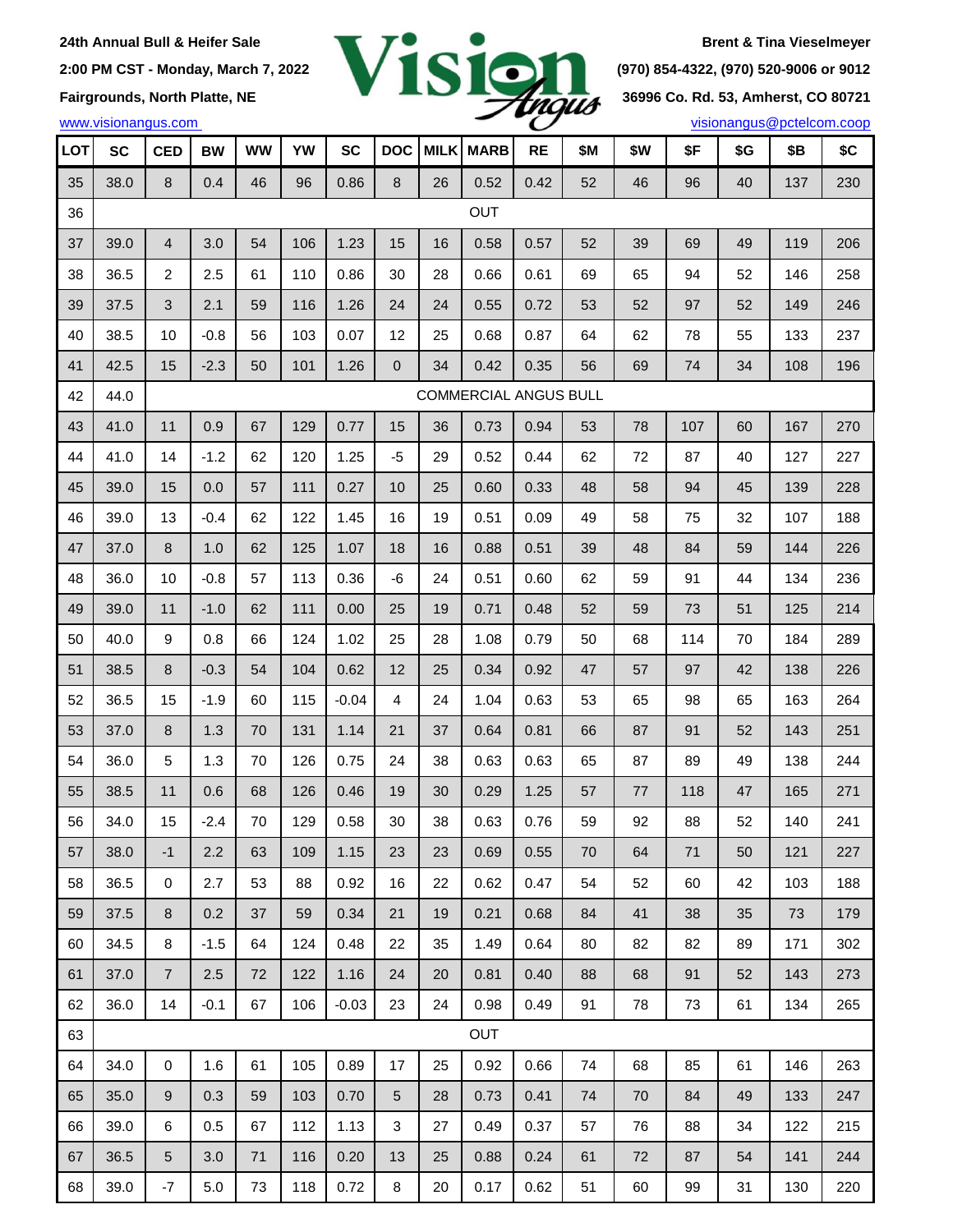

| <b>LOT</b> | <b>SC</b> | <b>CED</b>                   | <b>BW</b> | <b>WW</b> | YW  | <b>SC</b> | <b>DOC</b> | <b>MILK</b> | <b>MARB</b> | <b>RE</b> | \$М | \$W | \$F | \$G | \$Β | \$C |
|------------|-----------|------------------------------|-----------|-----------|-----|-----------|------------|-------------|-------------|-----------|-----|-----|-----|-----|-----|-----|
| 35         | 38.0      | $\bf 8$                      | 0.4       | 46        | 96  | 0.86      | 8          | 26          | 0.52        | 0.42      | 52  | 46  | 96  | 40  | 137 | 230 |
| 36         |           |                              |           |           |     |           |            |             | OUT         |           |     |     |     |     |     |     |
| 37         | 39.0      | $\overline{4}$               | 3.0       | 54        | 106 | 1.23      | 15         | 16          | 0.58        | 0.57      | 52  | 39  | 69  | 49  | 119 | 206 |
| 38         | 36.5      | $\overline{c}$               | 2.5       | 61        | 110 | 0.86      | 30         | 28          | 0.66        | 0.61      | 69  | 65  | 94  | 52  | 146 | 258 |
| 39         | 37.5      | 3                            | 2.1       | 59        | 116 | 1.26      | 24         | 24          | 0.55        | 0.72      | 53  | 52  | 97  | 52  | 149 | 246 |
| 40         | 38.5      | 10                           | $-0.8$    | 56        | 103 | 0.07      | 12         | 25          | 0.68        | 0.87      | 64  | 62  | 78  | 55  | 133 | 237 |
| 41         | 42.5      | 15                           | $-2.3$    | 50        | 101 | 1.26      | 0          | 34          | 0.42        | 0.35      | 56  | 69  | 74  | 34  | 108 | 196 |
| 42         | 44.0      | <b>COMMERCIAL ANGUS BULL</b> |           |           |     |           |            |             |             |           |     |     |     |     |     |     |
| 43         | 41.0      | 11                           | 0.9       | 67        | 129 | 0.77      | 15         | 36          | 0.73        | 0.94      | 53  | 78  | 107 | 60  | 167 | 270 |
| 44         | 41.0      | 14                           | $-1.2$    | 62        | 120 | 1.25      | -5         | 29          | 0.52        | 0.44      | 62  | 72  | 87  | 40  | 127 | 227 |
| 45         | 39.0      | 15                           | 0.0       | 57        | 111 | 0.27      | 10         | 25          | 0.60        | 0.33      | 48  | 58  | 94  | 45  | 139 | 228 |
| 46         | 39.0      | 13                           | $-0.4$    | 62        | 122 | 1.45      | 16         | 19          | 0.51        | 0.09      | 49  | 58  | 75  | 32  | 107 | 188 |
| 47         | 37.0      | $\bf 8$                      | 1.0       | 62        | 125 | 1.07      | 18         | 16          | 0.88        | 0.51      | 39  | 48  | 84  | 59  | 144 | 226 |
| 48         | 36.0      | 10                           | $-0.8$    | 57        | 113 | 0.36      | -6         | 24          | 0.51        | 0.60      | 62  | 59  | 91  | 44  | 134 | 236 |
| 49         | 39.0      | 11                           | $-1.0$    | 62        | 111 | 0.00      | 25         | 19          | 0.71        | 0.48      | 52  | 59  | 73  | 51  | 125 | 214 |
| 50         | 40.0      | 9                            | 0.8       | 66        | 124 | 1.02      | 25         | 28          | 1.08        | 0.79      | 50  | 68  | 114 | 70  | 184 | 289 |
| 51         | 38.5      | 8                            | $-0.3$    | 54        | 104 | 0.62      | 12         | 25          | 0.34        | 0.92      | 47  | 57  | 97  | 42  | 138 | 226 |
| 52         | 36.5      | 15                           | $-1.9$    | 60        | 115 | $-0.04$   | 4          | 24          | 1.04        | 0.63      | 53  | 65  | 98  | 65  | 163 | 264 |
| 53         | 37.0      | 8                            | 1.3       | 70        | 131 | 1.14      | 21         | 37          | 0.64        | 0.81      | 66  | 87  | 91  | 52  | 143 | 251 |
| 54         | 36.0      | 5                            | 1.3       | 70        | 126 | 0.75      | 24         | 38          | 0.63        | 0.63      | 65  | 87  | 89  | 49  | 138 | 244 |
| 55         | 38.5      | 11                           | 0.6       | 68        | 126 | 0.46      | 19         | 30          | 0.29        | 1.25      | 57  | 77  | 118 | 47  | 165 | 271 |
| 56         | 34.0      | 15                           | $-2.4$    | 70        | 129 | 0.58      | 30         | 38          | 0.63        | 0.76      | 59  | 92  | 88  | 52  | 140 | 241 |
| 57         | 38.0      | -1                           | 2.2       | 63        | 109 | 1.15      | 23         | 23          | 0.69        | 0.55      | 70  | 64  | 71  | 50  | 121 | 227 |
| 58         | 36.5      | 0                            | 2.7       | 53        | 88  | 0.92      | 16         | 22          | 0.62        | 0.47      | 54  | 52  | 60  | 42  | 103 | 188 |
| 59         | 37.5      | 8                            | 0.2       | 37        | 59  | 0.34      | 21         | 19          | 0.21        | 0.68      | 84  | 41  | 38  | 35  | 73  | 179 |
| 60         | 34.5      | 8                            | $-1.5$    | 64        | 124 | 0.48      | 22         | 35          | 1.49        | 0.64      | 80  | 82  | 82  | 89  | 171 | 302 |
| 61         | 37.0      | $\overline{7}$               | 2.5       | 72        | 122 | 1.16      | 24         | 20          | 0.81        | 0.40      | 88  | 68  | 91  | 52  | 143 | 273 |
| 62         | 36.0      | 14                           | $-0.1$    | 67        | 106 | $-0.03$   | 23         | 24          | 0.98        | 0.49      | 91  | 78  | 73  | 61  | 134 | 265 |
| 63         |           |                              |           |           |     |           |            |             | OUT         |           |     |     |     |     |     |     |
| 64         | 34.0      | $\mathsf 0$                  | 1.6       | 61        | 105 | 0.89      | 17         | 25          | 0.92        | 0.66      | 74  | 68  | 85  | 61  | 146 | 263 |
| 65         | 35.0      | $\boldsymbol{9}$             | 0.3       | 59        | 103 | 0.70      | 5          | 28          | 0.73        | 0.41      | 74  | 70  | 84  | 49  | 133 | 247 |
| 66         | 39.0      | 6                            | 0.5       | 67        | 112 | 1.13      | 3          | 27          | 0.49        | 0.37      | 57  | 76  | 88  | 34  | 122 | 215 |
| 67         | 36.5      | $5\phantom{.0}$              | 3.0       | 71        | 116 | 0.20      | 13         | 25          | 0.88        | 0.24      | 61  | 72  | 87  | 54  | 141 | 244 |
| 68         | 39.0      | $-7$                         | 5.0       | 73        | 118 | 0.72      | $\bf 8$    | 20          | 0.17        | 0.62      | 51  | 60  | 99  | 31  | 130 | 220 |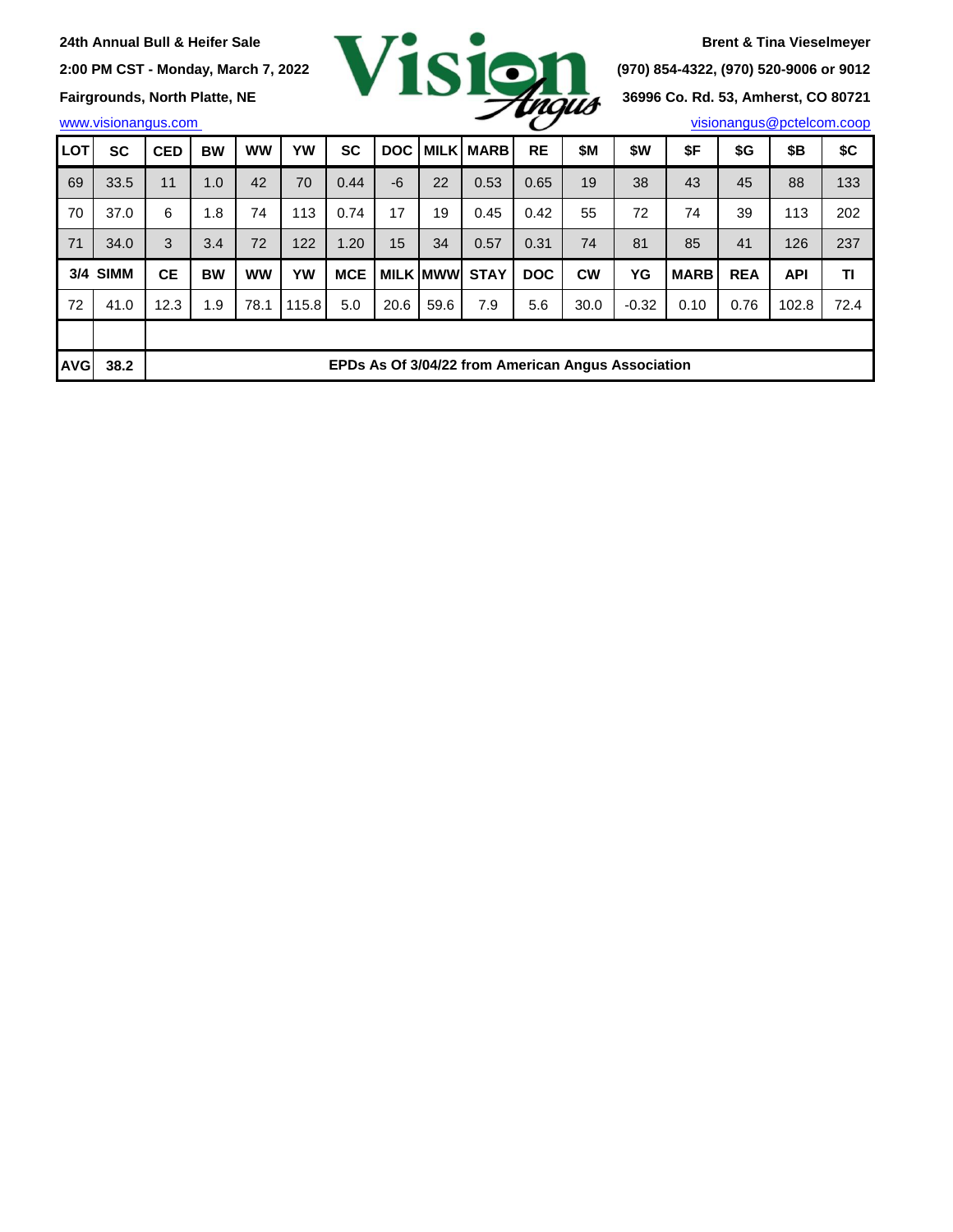

| <b>LOT</b> | <b>SC</b> | <b>CED</b> | <b>BW</b>                                          | <b>WW</b> | <b>YW</b> | <b>SC</b>  | <b>DOC</b> |                 | <b>MILK MARB</b> | <b>RE</b>  | \$Μ       | \$W     | \$F         | \$G        | \$Β        | \$C  |
|------------|-----------|------------|----------------------------------------------------|-----------|-----------|------------|------------|-----------------|------------------|------------|-----------|---------|-------------|------------|------------|------|
| 69         | 33.5      | 11         | 1.0                                                | 42        | 70        | 0.44       | -6         | 22              | 0.53             | 0.65       | 19        | 38      | 43          | 45         | 88         | 133  |
| 70         | 37.0      | 6          | 1.8                                                | 74        | 113       | 0.74       | 17         | 19              | 0.45             | 0.42       | 55        | 72      | 74          | 39         | 113        | 202  |
| 71         | 34.0      | 3          | 3.4                                                | 72        | 122       | 1.20       | 15         | 34              | 0.57             | 0.31       | 74        | 81      | 85          | 41         | 126        | 237  |
|            | 3/4 SIMM  | <b>CE</b>  | <b>BW</b>                                          | <b>WW</b> | YW        | <b>MCE</b> |            | <b>MILK MWW</b> | <b>STAY</b>      | <b>DOC</b> | <b>CW</b> | YG      | <b>MARB</b> | <b>REA</b> | <b>API</b> | ΤI   |
| 72         | 41.0      | 12.3       | 1.9                                                | 78.1      | 115.8     | 5.0        | 20.6       | 59.6            | 7.9              | 5.6        | 30.0      | $-0.32$ | 0.10        | 0.76       | 102.8      | 72.4 |
|            |           |            |                                                    |           |           |            |            |                 |                  |            |           |         |             |            |            |      |
| <b>AVG</b> | 38.2      |            | EPDs As Of 3/04/22 from American Angus Association |           |           |            |            |                 |                  |            |           |         |             |            |            |      |